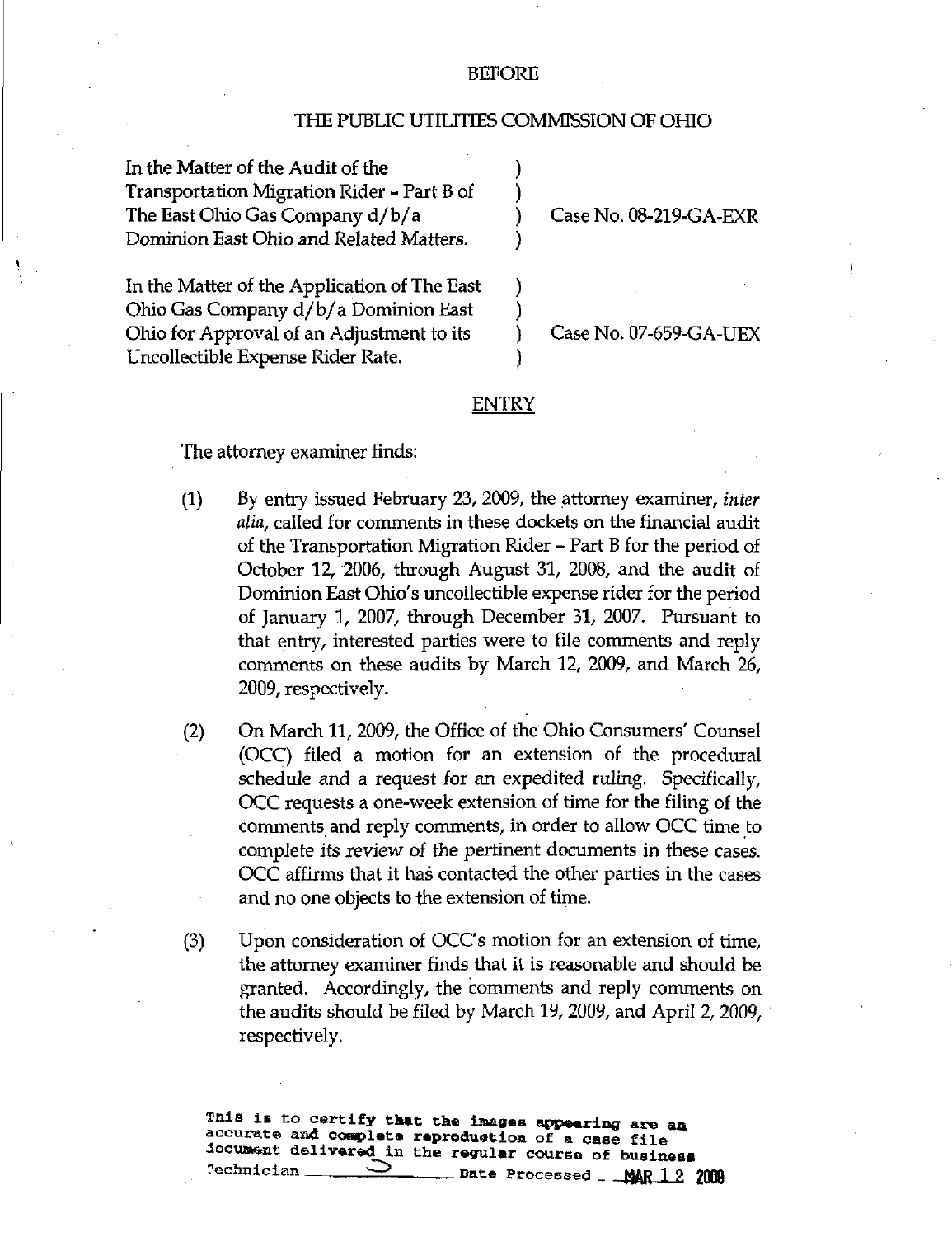## BEFORE

## THE PUBLIC UTILITIES COMMISSION OF OHIO

In the Matter of the Audit of the Transportation Migration Rider - Part B of The East Ohio Gas Company d/b/a Dominion East Ohio and Related Matters.

Case No. 08-219-GA-EXR

In the Matter of the Application of The East Ohio Gas Company d/b/a Dominion East Ohio for Approval of an Adjustment to its Uncollectible Expense Rider Rate.

Case No. 07-659-GA-UEX

## ENTRY

The attorney examiner finds:

- (1) By entry issued February 23, 2009, the attorney examiner, inter alia, called for comments in these dockets on the financial audit of the Transportation Migration Rider - Part B for the period of October 12, 2006, through August 31, 2008, and the audit of Dominion East Ohio's uncollectible expense rider for the period of January 1, 2007, through December 31, 2007. Pursuant to that entry, interested parties were to file comments and reply comments on these audits by March 12, 2009, and March 26, 2009, respectively.
- (2) On March 11, 2009, the Office of the Ohio Consumers' Counsel (OCC) filed a motion for an extension of the procedural schedule and a request for an expedited ruling. Specifically, OCC requests a one-week extension of time for the filing of the comments and reply comments, in order to allow OCC time to complete its review of the pertinent documents in these cases. OCC affirms that it has contacted the other parties in the cases and no one objects to the extension of time.
- (3) Upon consideration of OCC's motion for an extension of time, the attorney examiner finds that it is reasonable and should be granted. Accordingly, the comments and reply comments on the audits should be filed by March 19, 2009, and April 2, 2009, respectively.

Tnis is to certify that the images appearing are an accurate and complete reproduction of a case file iocuxa^nExt delivaredi n th e regula r course of business Date Processed  $_{-}$  MAR 1 2 2009